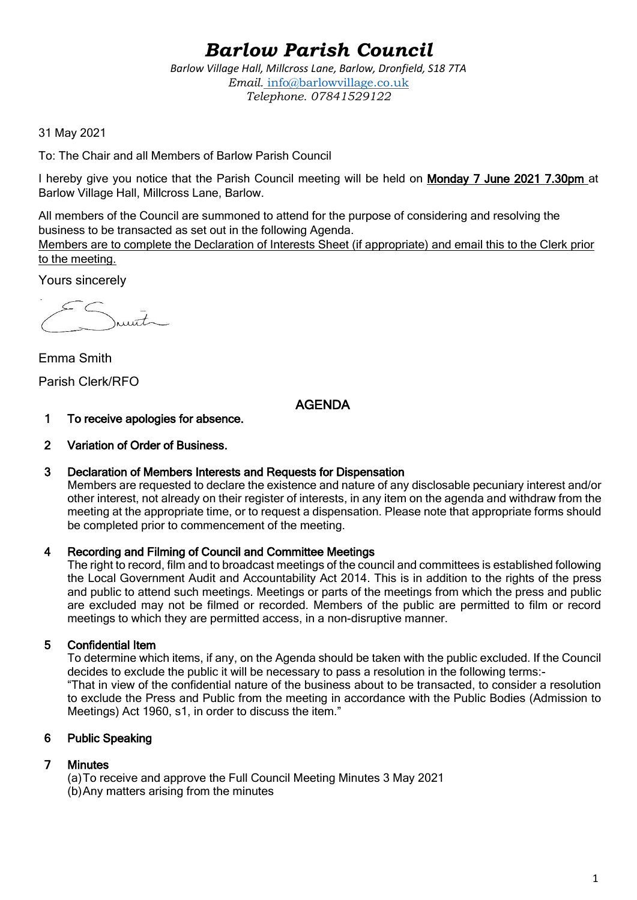# *Barlow Parish Council*

*Barlow Village Hall, Millcross Lane, Barlow, Dronfield, S18 7TA Email.* info@barlowvillage.co.uk *Telephone. 07841529122*

31 May 2021

To: The Chair and all Members of Barlow Parish Council

I hereby give you notice that the Parish Council meeting will be held on Monday 7 June 2021 7.30pm at Barlow Village Hall, Millcross Lane, Barlow.

All members of the Council are summoned to attend for the purpose of considering and resolving the business to be transacted as set out in the following Agenda.

Members are to complete the Declaration of Interests Sheet (if appropriate) and email this to the Clerk prior to the meeting.

Yours sincerely

 $\bar{t}$ 

Emma Smith Parish Clerk/RFO

# AGENDA

- 1 To receive apologies for absence.
- 2 Variation of Order of Business.

#### 3 Declaration of Members Interests and Requests for Dispensation

Members are requested to declare the existence and nature of any disclosable pecuniary interest and/or other interest, not already on their register of interests, in any item on the agenda and withdraw from the meeting at the appropriate time, or to request a dispensation. Please note that appropriate forms should be completed prior to commencement of the meeting.

#### 4 Recording and Filming of Council and Committee Meetings

The right to record, film and to broadcast meetings of the council and committees is established following the Local Government Audit and Accountability Act 2014. This is in addition to the rights of the press and public to attend such meetings. Meetings or parts of the meetings from which the press and public are excluded may not be filmed or recorded. Members of the public are permitted to film or record meetings to which they are permitted access, in a non-disruptive manner.

## 5 Confidential Item

To determine which items, if any, on the Agenda should be taken with the public excluded. If the Council decides to exclude the public it will be necessary to pass a resolution in the following terms:- "That in view of the confidential nature of the business about to be transacted, to consider a resolution to exclude the Press and Public from the meeting in accordance with the Public Bodies (Admission to Meetings) Act 1960, s1, in order to discuss the item."

## 6 Public Speaking

## 7 Minutes

(a)To receive and approve the Full Council Meeting Minutes 3 May 2021 (b)Any matters arising from the minutes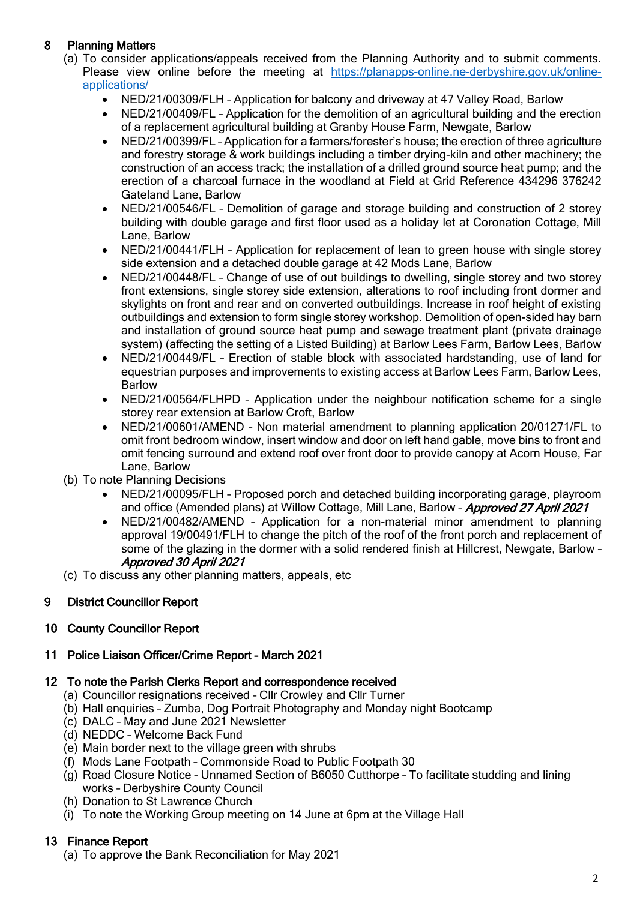## 8 Planning Matters

- (a) To consider applications/appeals received from the Planning Authority and to submit comments. Please view online before the meeting at [https://planapps-online.ne-derbyshire.gov.uk/online](https://planapps-online.ne-derbyshire.gov.uk/online-applications/)[applications/](https://planapps-online.ne-derbyshire.gov.uk/online-applications/)
	- NED/21/00309/FLH Application for balcony and driveway at 47 Valley Road, Barlow
	- NED/21/00409/FL Application for the demolition of an agricultural building and the erection of a replacement agricultural building at Granby House Farm, Newgate, Barlow
	- NED/21/00399/FL Application for a farmers/forester's house; the erection of three agriculture and forestry storage & work buildings including a timber drying-kiln and other machinery; the construction of an access track; the installation of a drilled ground source heat pump; and the erection of a charcoal furnace in the woodland at Field at Grid Reference 434296 376242 Gateland Lane, Barlow
	- NED/21/00546/FL Demolition of garage and storage building and construction of 2 storey building with double garage and first floor used as a holiday let at Coronation Cottage, Mill Lane, Barlow
	- NED/21/00441/FLH Application for replacement of lean to green house with single storey side extension and a detached double garage at 42 Mods Lane, Barlow
	- NED/21/00448/FL Change of use of out buildings to dwelling, single storey and two storey front extensions, single storey side extension, alterations to roof including front dormer and skylights on front and rear and on converted outbuildings. Increase in roof height of existing outbuildings and extension to form single storey workshop. Demolition of open-sided hay barn and installation of ground source heat pump and sewage treatment plant (private drainage system) (affecting the setting of a Listed Building) at Barlow Lees Farm, Barlow Lees, Barlow
	- NED/21/00449/FL Erection of stable block with associated hardstanding, use of land for equestrian purposes and improvements to existing access at Barlow Lees Farm, Barlow Lees, Barlow
	- NED/21/00564/FLHPD Application under the neighbour notification scheme for a single storey rear extension at Barlow Croft, Barlow
	- NED/21/00601/AMEND Non material amendment to planning application 20/01271/FL to omit front bedroom window, insert window and door on left hand gable, move bins to front and omit fencing surround and extend roof over front door to provide canopy at Acorn House, Far Lane, Barlow
- (b) To note Planning Decisions
	- NED/21/00095/FLH Proposed porch and detached building incorporating garage, playroom and office (Amended plans) at Willow Cottage, Mill Lane, Barlow - Approved 27 April 2021
	- NED/21/00482/AMEND Application for a non-material minor amendment to planning approval 19/00491/FLH to change the pitch of the roof of the front porch and replacement of some of the glazing in the dormer with a solid rendered finish at Hillcrest. Newgate, Barlow -Approved 30 April 2021
- (c) To discuss any other planning matters, appeals, etc

## 9 District Councillor Report

## 10 County Councillor Report

## 11 Police Liaison Officer/Crime Report – March 2021

## 12 To note the Parish Clerks Report and correspondence received

- (a) Councillor resignations received Cllr Crowley and Cllr Turner
- (b) Hall enquiries Zumba, Dog Portrait Photography and Monday night Bootcamp
- (c) DALC May and June 2021 Newsletter
- (d) NEDDC Welcome Back Fund
- (e) Main border next to the village green with shrubs
- (f) Mods Lane Footpath Commonside Road to Public Footpath 30
- (g) Road Closure Notice Unnamed Section of B6050 Cutthorpe To facilitate studding and lining works – Derbyshire County Council
- (h) Donation to St Lawrence Church
- (i) To note the Working Group meeting on 14 June at 6pm at the Village Hall

## 13 Finance Report

(a) To approve the Bank Reconciliation for May 2021